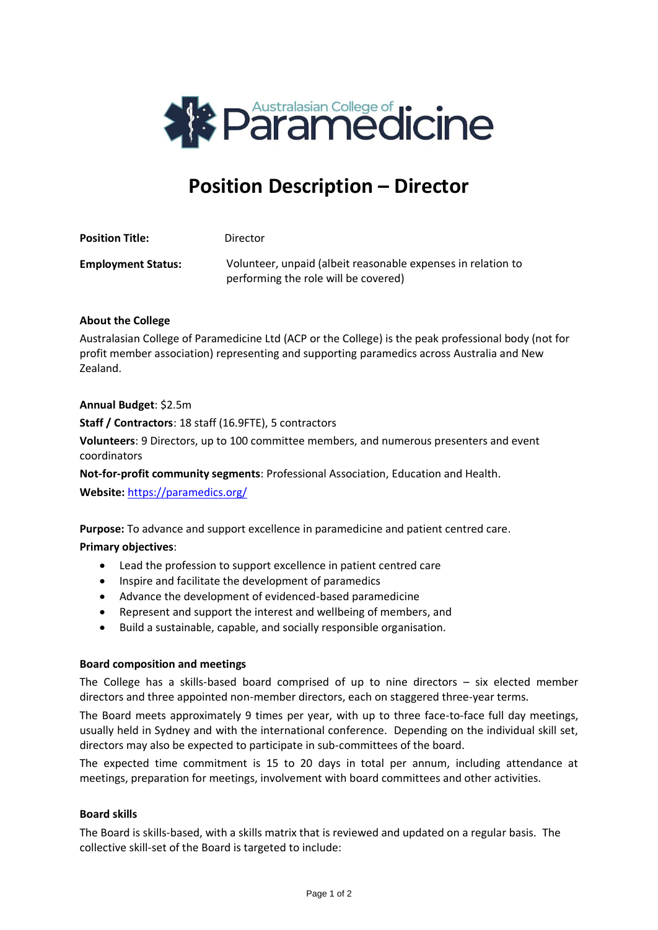

# **Position Description – Director**

| <b>Position Title:</b>    | Director                                                                                             |
|---------------------------|------------------------------------------------------------------------------------------------------|
| <b>Employment Status:</b> | Volunteer, unpaid (albeit reasonable expenses in relation to<br>performing the role will be covered) |

### **About the College**

Australasian College of Paramedicine Ltd (ACP or the College) is the peak professional body (not for profit member association) representing and supporting paramedics across Australia and New Zealand.

### **Annual Budget**: \$2.5m

**Staff / Contractors**: 18 staff (16.9FTE), 5 contractors

**Volunteers**: 9 Directors, up to 100 committee members, and numerous presenters and event coordinators

**Not-for-profit community segments**: Professional Association, Education and Health.

**Website:** <https://paramedics.org/>

**Purpose:** To advance and support excellence in paramedicine and patient centred care.

### **Primary objectives**:

- Lead the profession to support excellence in patient centred care
- Inspire and facilitate the development of paramedics
- Advance the development of evidenced-based paramedicine
- Represent and support the interest and wellbeing of members, and
- Build a sustainable, capable, and socially responsible organisation.

### **Board composition and meetings**

The College has a skills-based board comprised of up to nine directors  $-$  six elected member directors and three appointed non-member directors, each on staggered three-year terms.

The Board meets approximately 9 times per year, with up to three face-to-face full day meetings, usually held in Sydney and with the international conference. Depending on the individual skill set, directors may also be expected to participate in sub-committees of the board.

The expected time commitment is 15 to 20 days in total per annum, including attendance at meetings, preparation for meetings, involvement with board committees and other activities.

### **Board skills**

The Board is skills-based, with a skills matrix that is reviewed and updated on a regular basis. The collective skill-set of the Board is targeted to include: